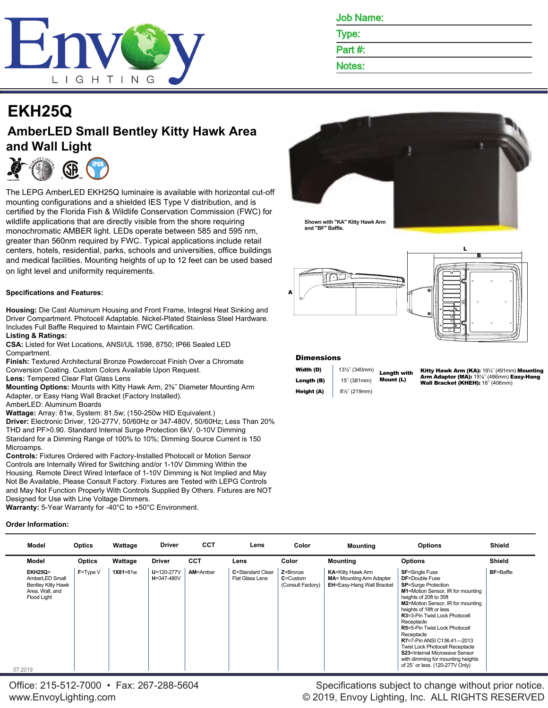

|  | on Nam<br>- |
|--|-------------|
|--|-------------|

Type: Part #:

Notes:

# **EKH25Q**

## **AmberLED Small Bentley Kitty Hawk Area and Wall Light**



The LEPG AmberLED EKH25Q luminaire is available with horizontal cut-off mounting configurations and a shielded IES Type V distribution, and is certified by the Florida Fish & Wildlife Conservation Commission (FWC) for wildlife applications that are directly visible from the shore requiring monochromatic AMBER light. LEDs operate between 585 and 595 nm, greater than 560nm required by FWC. Typical applications include retail centers, hotels, residential, parks, schools and universities, office buildings and medical facilities. Mounting heights of up to 12 feet can be used based on light level and uniformity requirements.

### **Specifications and Features:**

**Housing:** Die Cast Aluminum Housing and Front Frame, Integral Heat Sinking and Driver Compartment. Photocell Adaptable. Nickel-Plated Stainless Steel Hardware. Includes Full Baffle Required to Maintain FWC Certification.

#### **Listing & Ratings:**

**CSA:** Listed for Wet Locations, ANSI/UL 1598, 8750; IP66 Sealed LED Compartment.

**Finish:** Textured Architectural Bronze Powdercoat Finish Over a Chromate Conversion Coating. Custom Colors Available Upon Request.

**Lens:** Tempered Clear Flat Glass Lens

**Mounting Options:** Mounts with Kitty Hawk Arm, 2⅜˝ Diameter Mounting Arm Adapter, or Easy Hang Wall Bracket (Factory Installed).

AmberLED: Aluminum Boards

**Wattage:** Array: 81w, System: 81.5w; (150-250w HID Equivalent.)

**Driver:** Electronic Driver, 120-277V, 50/60Hz or 347-480V, 50/60Hz; Less Than 20% THD and PF>0.90. Standard Internal Surge Protection 6kV. 0-10V Dimming Standard for a Dimming Range of 100% to 10%; Dimming Source Current is 150 Microamps.

**Controls:** Fixtures Ordered with Factory-Installed Photocell or Motion Sensor Controls are Internally Wired for Switching and/or 1-10V Dimming Within the Housing. Remote Direct Wired Interface of 1-10V Dimming is Not Implied and May Not Be Available, Please Consult Factory. Fixtures are Tested with LEPG Controls and May Not Function Properly With Controls Supplied By Others. Fixtures are NOT Designed for Use with Line Voltage Dimmers.

**Warranty:** 5-Year Warranty for -40°C to +50°C Environment.

### **Order Information:**



**Shown with "KA" Kitty Hawk Arm and "BF" Baffle.**



#### **Dimensions**

| Width (D)  | 131/2" (340mm) |
|------------|----------------|
| Length (B) | 15" (381mm)    |
| Height (A) | 81/2" (219mm)  |

Length with Mount (L) Kitty Hawk Arm (KA): 19¼˝ (491mm) Mounting **Arm Adaptor (MA):** 19⅓˝ (486mm) **Easy-Hang**<br>**Wall Bracket (KHEH):** 16˝ (406mm)

| Model                                                                                                             | <b>Optics</b> | Wattage      | <b>Driver</b>                  | CCT        | Lens                                | Color                                         | <b>Mounting</b>                                                                           | <b>Options</b>                                                                                                                                                                                                                                                                                                                                                                                                                                                                                                          | <b>Shield</b>    |
|-------------------------------------------------------------------------------------------------------------------|---------------|--------------|--------------------------------|------------|-------------------------------------|-----------------------------------------------|-------------------------------------------------------------------------------------------|-------------------------------------------------------------------------------------------------------------------------------------------------------------------------------------------------------------------------------------------------------------------------------------------------------------------------------------------------------------------------------------------------------------------------------------------------------------------------------------------------------------------------|------------------|
| Model                                                                                                             | Optics        | Wattage      | <b>Driver</b>                  | <b>CCT</b> | Lens                                | Color                                         | <b>Mounting</b>                                                                           | <b>Options</b>                                                                                                                                                                                                                                                                                                                                                                                                                                                                                                          | <b>Shield</b>    |
| <b>EKH25Q=</b><br>AmberLED Small<br><b>Bentley Kitty Hawk</b><br>Area, Wall, and<br><b>Flood Light</b><br>07.2019 | $F = Type V$  | $1X81 = 81w$ | $U = 120 - 277V$<br>H=347-480V | AM=Amber   | C=Standard Clear<br>Flat Glass Lens | Z=Bronze<br>$C =$ Custom<br>(Consult Factory) | <b>KA=Kitty Hawk Arm</b><br><b>MA</b> = Mounting Arm Adapter<br>EH=Easy-Hang Wall Bracket | <b>SF=Single Fuse</b><br><b>DF=Double Fuse</b><br><b>SP=Surge Protection</b><br>M1=Motion Sensor, IR for mounting<br>heights of 20ft to 35ft<br><b>M2=Motion Sensor, IR for mounting</b><br>heights of 18ft or less<br><b>R3=3-Pin Twist Lock Photocell</b><br>Receptacle<br><b>R5=5-Pin Twist Lock Photocell</b><br>Receptacle<br><b>R7=7-Pin ANSI C136.41-2013</b><br><b>Twist Lock Photocell Receptacle</b><br>S23=Internal Microwave Sensor<br>with dimming for mounting heights<br>of 25' or less. (120-277V Only) | <b>BF=Baffle</b> |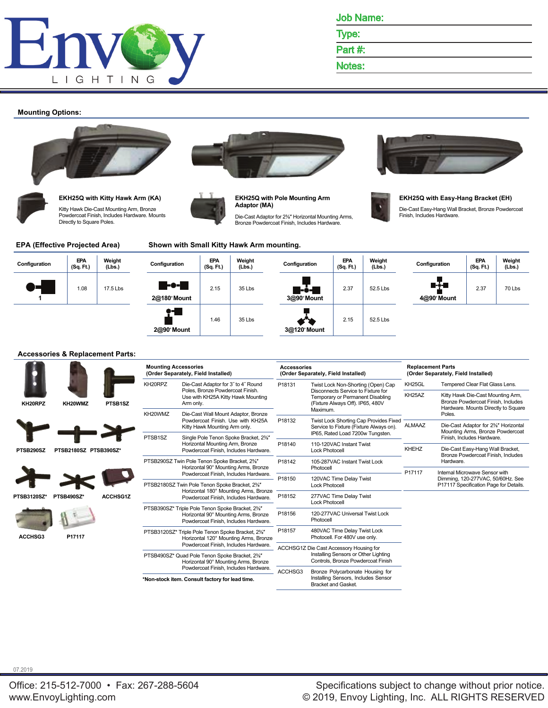

Type:

Part #:

Notes:

#### **Mounting Options:**





**EKH25Q with Kitty Hawk Arm (KA)** Kitty Hawk Die-Cast Mounting Arm, Bronze Powdercoat Finish, Includes Hardware. Mounts Directly to Square Poles.





**EKH25Q with Pole Mounting Arm Adaptor (MA)**

Die-Cast Adaptor for 2⅜″ Horizontal Mounting Arms, Bronze Powdercoat Finish, Includes Hardware.





#### **EKH25Q with Easy-Hang Bracket (EH)**

Die-Cast Easy-Hang Wall Bracket, Bronze Powdercoat Finish, Includes Hardware.

#### **EPA (Effective Projected Area) Shown with Small Kitty Hawk Arm mounting.**

| Configuration | EPA<br>(Sq. Ft.) | Weight<br>(Lbs.) | Configuration       | <b>EPA</b><br>(Sq. Ft.) | Weight<br>(Lbs.) | Configuration       | EPA<br>(Sq. Ft.) | Weight<br>(Lbs.) | Configuration        | EPA<br>(Sq. Ft.) | Weight<br>(Lbs.) |
|---------------|------------------|------------------|---------------------|-------------------------|------------------|---------------------|------------------|------------------|----------------------|------------------|------------------|
| A.,           | 1.08             | 17.5 Lbs         | -0-<br>2@180° Mount | 2.15                    | 35 Lbs           | 3@90° Mount         | 2.37             | 52.5 Lbs         | @-÷-#<br>4@90° Mount | 2.37             | 70 Lbs           |
|               |                  |                  | T.<br>2@90° Mount   | 1.46                    | 35 Lbs           | o q<br>3@120° Mount | 2.15             | 52.5 Lbs         |                      |                  |                  |

#### **Accessories & Replacement Parts:**

|             |                       |                 | <b>Mounting Accessories</b> | (Order Separately, Field Installed)                                                                                              | <b>Accessories</b> | (Order Separately, Field Installed)                                                                                    | <b>Replacement Parts</b><br>(Order Separately, Field Installed) |                                                                                                                |  |
|-------------|-----------------------|-----------------|-----------------------------|----------------------------------------------------------------------------------------------------------------------------------|--------------------|------------------------------------------------------------------------------------------------------------------------|-----------------------------------------------------------------|----------------------------------------------------------------------------------------------------------------|--|
|             |                       |                 | KH20RPZ                     | Die-Cast Adaptor for 3" to 4" Round                                                                                              | P18131             | Twist Lock Non-Shorting (Open) Cap                                                                                     | KH25GL                                                          | Tempered Clear Flat Glass Lens.                                                                                |  |
| KH20RPZ     | KH20WMZ               | PTSB1SZ         |                             | Poles, Bronze Powdercoat Finish.<br>Use with KH25A Kitty Hawk Mounting<br>Arm only.                                              |                    | Disconnects Service to Fixture for<br>Temporary or Permanent Disabling<br>(Fixture Always Off). IP65, 480V<br>Maximum. | KH <sub>25</sub> AZ                                             | Kitty Hawk Die-Cast Mounting Arm,<br>Bronze Powdercoat Finish, Includes<br>Hardware. Mounts Directly to Square |  |
|             |                       |                 | KH20WMZ                     | Die-Cast Wall Mount Adaptor, Bronze                                                                                              |                    |                                                                                                                        |                                                                 | Poles.                                                                                                         |  |
|             |                       |                 |                             | Powdercoat Finish. Use with KH25A<br>Kitty Hawk Mounting Arm only.                                                               | P18132             | Twist Lock Shorting Cap Provides Fixed<br>Service to Fixture (Fixture Always on).<br>IP65, Rated Load 7200w Tungsten.  | <b>ALMAAZ</b>                                                   | Die-Cast Adaptor for 2%" Horizontal<br>Mounting Arms, Bronze Powdercoat                                        |  |
|             |                       |                 | PTSB1SZ                     | Single Pole Tenon Spoke Bracket, 2%"                                                                                             |                    | 110-120VAC Instant Twist                                                                                               |                                                                 | Finish, Includes Hardware.                                                                                     |  |
| PTSB290SZ   | PTSB2180SZ PTSB390SZ* |                 |                             | Horizontal Mounting Arm, Bronze<br>Powdercoat Finish, Includes Hardware.                                                         | P18140             | <b>Lock Photocell</b>                                                                                                  | <b>KHEHZ</b>                                                    | Die-Cast Easy-Hang Wall Bracket,<br>Bronze Powdercoat Finish, Includes                                         |  |
|             |                       |                 |                             | PTSB290SZ Twin Pole Tenon Spoke Bracket, 2%"                                                                                     | P18142             | 105-287VAC Instant Twist Lock                                                                                          |                                                                 | Hardware.                                                                                                      |  |
|             |                       |                 |                             | Horizontal 90° Mounting Arms, Bronze<br>Powdercoat Finish, Includes Hardware.                                                    |                    | Photocell                                                                                                              | P17117                                                          | Internal Microwave Sensor with                                                                                 |  |
|             |                       |                 |                             | PTSB2180SZ Twin Pole Tenon Spoke Bracket, 2%"<br>Horizontal 180° Mounting Arms, Bronze                                           | P18150             | 120VAC Time Delay Twist<br><b>Lock Photocell</b>                                                                       |                                                                 | Dimming, 120-277VAC, 50/60Hz. See<br>P17117 Specification Page for Details.                                    |  |
| PTSB3120SZ* | PTSB490SZ*            | <b>ACCHSG1Z</b> |                             | Powdercoat Finish, Includes Hardware.                                                                                            | P18152             | 277VAC Time Delay Twist<br><b>Lock Photocell</b>                                                                       |                                                                 |                                                                                                                |  |
|             |                       |                 |                             | PTSB390SZ* Triple Pole Tenon Spoke Bracket, 2%"<br>Horizontal 90° Mounting Arms, Bronze<br>Powdercoat Finish, Includes Hardware. | P18156             | 120-277VAC Universal Twist Lock<br>Photocell                                                                           |                                                                 |                                                                                                                |  |
| ACCHSG3     | P17117                |                 |                             | PTSB3120SZ* Triple Pole Tenon Spoke Bracket, 2%"<br>Horizontal 120° Mounting Arms, Bronze                                        | P18157             | 480VAC Time Delay Twist Lock<br>Photocell. For 480V use only.                                                          |                                                                 |                                                                                                                |  |
|             |                       |                 |                             | Powdercoat Finish, Includes Hardware.                                                                                            |                    | ACCHSG1Z Die Cast Accessory Housing for                                                                                |                                                                 |                                                                                                                |  |
|             |                       |                 |                             | PTSB490SZ* Quad Pole Tenon Spoke Bracket, 2%"<br>Horizontal 90° Mounting Arms, Bronze                                            |                    | Installing Sensors or Other Lighting<br>Controls. Bronze Powdercoat Finish                                             |                                                                 |                                                                                                                |  |
|             |                       |                 |                             | Powdercoat Finish, Includes Hardware.                                                                                            | ACCHSG3            | Bronze Polycarbonate Housing for                                                                                       |                                                                 |                                                                                                                |  |
|             |                       |                 |                             | *Non-stock item. Consult factory for lead time.                                                                                  |                    | Installing Sensors, Includes Sensor<br><b>Bracket and Gasket.</b>                                                      |                                                                 |                                                                                                                |  |

07.2019